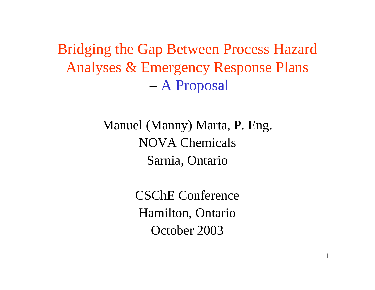Bridging the Gap Between Process Hazard Analyses & Emergency Response Plans – A Proposal

> Manuel (Manny) Marta, P. Eng. NOVA ChemicalsSarnia, Ontario

> > CSChE ConferenceHamilton, Ontario October 2003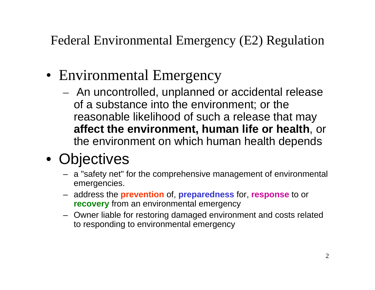Federal Environmental Emergency (E2) Regulation

- Environmental Emergency
	- An uncontrolled, unplanned or accidental release of a substance into the environment; or the reasonable likelihood of such a release that may **affect the environment, human life or health**, or the environment on which human health depends
- Objectives
	- <sup>a</sup>"safety net" for the comprehensive management of environmental emergencies.
	- address the **prevention** of, **preparedness** for, **response** to or **recovery** from an environmental emergency
	- Owner liable for restoring damaged environment and costs related to responding to environmental emergency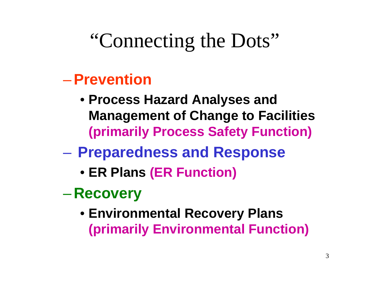## "Connecting the Dots"

### –**Prevention**

- **Process Hazard Analyses and Management of Change to Facilities (primarily Process Safety Function)**
- $\mathcal{L}_{\mathcal{A}}$  , and the set of the set of the set of the set of the set of the set of the set of the set of the set of the set of the set of the set of the set of the set of the set of the set of the set of the set of th **Preparedness and Response**
	- **ER Plans (ER Function)**
- $\mathcal{L}_{\mathcal{A}}$  , and the set of  $\mathcal{L}_{\mathcal{A}}$  **Recovery**
	- **Environmental Recovery Plans (primarily Environmental Function)**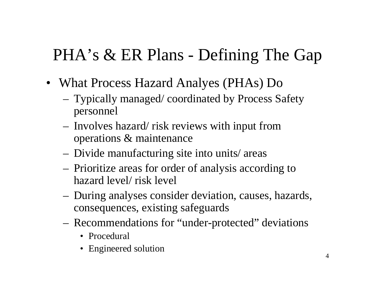### PHA's & ER Plans - Defining The Gap

- What Process Hazard Analyes (PHAs) Do
	- Typically managed/ coordinated by Process Safety personnel
	- Involves hazard/ risk reviews with input from operations & maintenance
	- Divide manufacturing site into units/ areas
	- Prioritize areas for order of analysis according to hazard level/ risk level
	- During analyses consider deviation, causes, hazards, consequences, existing safeguards
	- Recommendations for "under-protected" deviations
		- Procedural
		- Engineered solution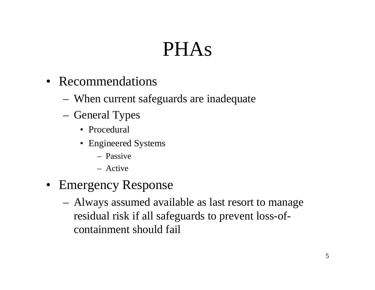# PHAs

- Recommendations
	- When current safeguards are inadequate
	- General Types
		- Procedural
		- Engineered Systems
			- Passive
			- Active
- Emergency Response
	- Always assumed available as last resort to manage residual risk if all safeguards to prevent loss-ofcontainment should fail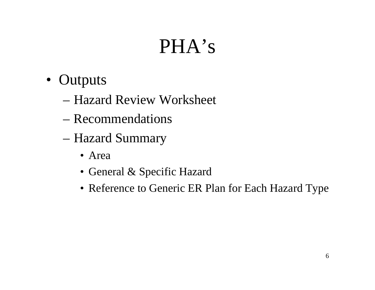# PHA's

- Outputs
	- Hazard Review Worksheet
	- Recommendations
	- – Hazard Summary
		- Area
		- General & Specific Hazard
		- Reference to Generic ER Plan for Each Hazard Type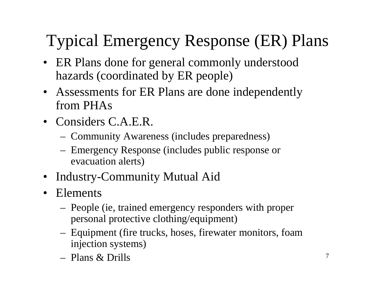### Typical Emergency Response (ER) Plans

- ER Plans done for general commonly understood hazards (coordinated by ER people)
- Assessments for ER Plans are done independently from PHAs
- Considers C.A.E.R.
	- Community Awareness (includes preparedness)
	- – Emergency Response (includes public response or evacuation alerts)
- Industry-Community Mutual Aid
- $\bullet$  Elements
	- People (ie, trained emergency responders with proper personal protective clothing/equipment)
	- – Equipment (fire trucks, hoses, firewater monitors, foam injection systems)
	- Plans & Drills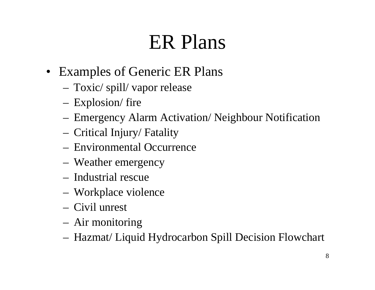### ER Plans

- Examples of Generic ER Plans
	- Toxic/ spill/ vapor release
	- Explosion/ fire
	- Emergency Alarm Activation/ Neighbour Notification
	- Critical Injury/ Fatality
	- Environmental Occurrence
	- Weather emergency
	- Industrial rescue
	- Workplace violence
	- Civil unrest
	- Air monitoring
	- Hazmat/ Liquid Hydrocarbon Spill Decision Flowchart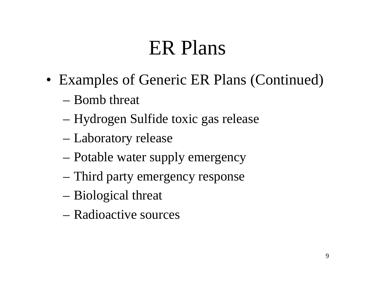### ER Plans

- Examples of Generic ER Plans (Continued)
	- Bomb threat
	- –Hydrogen Sulfide toxic gas release
	- –Laboratory release
	- –Potable water supply emergency
	- –Third party emergency response
	- Biological threat
	- Radioactive sources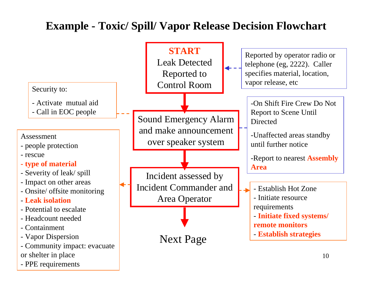### **Example - Toxic/ Spill/ Vapor Release Decision Flowchart**

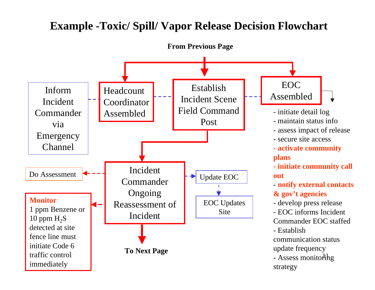#### **Example -Toxic/ Spill/ Vapor Release Decision Flowchart**

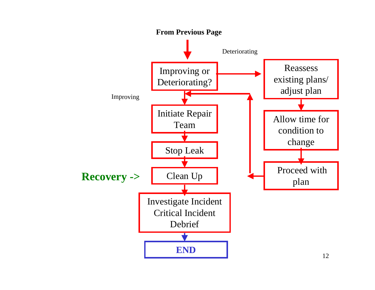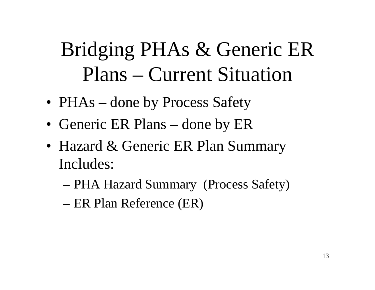# Bridging PHAs & Generic ER Plans – Current Situation

- PHAs done by Process Safety
- Generic ER Plans done by ER
- Hazard & Generic ER Plan Summary Includes:
	- PHA Hazard Summary (Process Safety)
	- –ER Plan Reference (ER)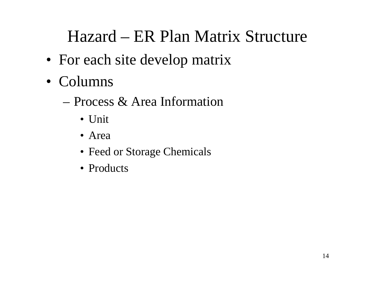### Hazard – ER Plan Matrix Structure

- For each site develop matrix
- Columns
	- Process & Area Information
		- Unit
		- Area
		- Feed or Storage Chemicals
		- Products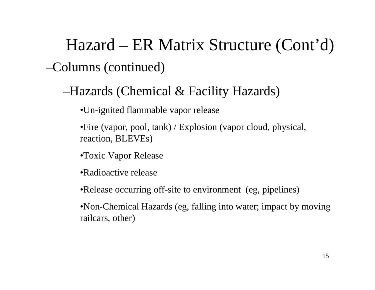Hazard – ER Matrix Structure (Cont'd)

–Columns (continued)

–Hazards (Chemical & Facility Hazards)

•Un-ignited flammable vapor release

•Fire (vapor, pool, tank) / Explosion (vapor cloud, physical, reaction, BLEVEs)

•Toxic Vapor Release

•Radioactive release

•Release occurring off-site to environment (eg, pipelines)

•Non-Chemical Hazards (eg, falling into water; impact by moving railcars, other)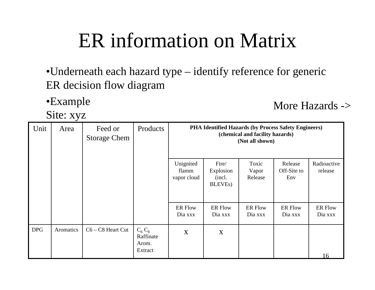## ER information on Matrix

- •Underneath each hazard type identify reference for generic ER decision flow diagram
- •Example

Site: xyz

More Hazards ->

| Unit       | ┙<br>Area | Feed or<br><b>Storage Chem</b> | Products                                  | PHA Identified Hazards (by Process Safety Engineers)<br>(chemical and facility hazards)<br>(Not all shown) |                                                 |                           |                               |                           |  |
|------------|-----------|--------------------------------|-------------------------------------------|------------------------------------------------------------------------------------------------------------|-------------------------------------------------|---------------------------|-------------------------------|---------------------------|--|
|            |           |                                |                                           | Unignited<br>flamm<br>vapor cloud                                                                          | Fire/<br>Explosion<br>(incl.<br><b>BLEVEs</b> ) | Toxic<br>Vapor<br>Release | Release<br>Off-Site to<br>Env | Radioactive<br>release    |  |
|            |           |                                |                                           | <b>ER Flow</b><br>Dia xxx                                                                                  | <b>ER Flow</b><br>Dia xxx                       | <b>ER Flow</b><br>Dia xxx | <b>ER Flow</b><br>Dia xxx     | <b>ER Flow</b><br>Dia xxx |  |
| <b>DPG</b> | Aromatics | $C6 - C8$ Heart Cut            | $C_6C_8$<br>Raffinate<br>Arom.<br>Extract | $\boldsymbol{X}$                                                                                           | X                                               |                           |                               | 16                        |  |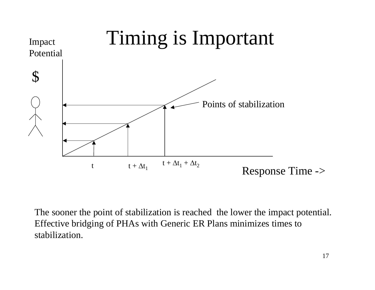

The sooner the point of stabilization is reached the lower the impact potential. Effective bridging of PHAs with Generic ER Plans minimizes times to stabilization.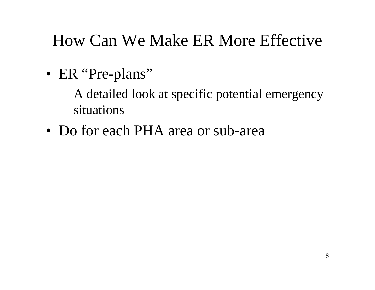### How Can We Make ER More Effective

- ER "Pre-plans"
	- A detailed look at specific potential emergency situations
- Do for each PHA area or sub-area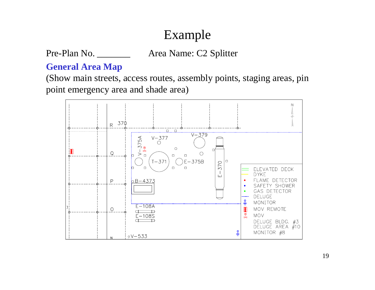### Example

#### Pre-Plan No. \_\_\_\_\_\_\_\_\_\_ Area Name: C2 Splitter

#### **General Area Map**

(Show main streets, access routes, assembly points, staging areas, pin point emergency area and shade area)

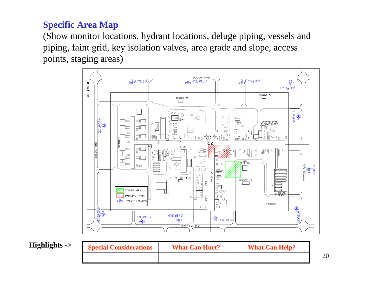#### **Specific Area Map**

(Show monitor locations, hydrant locations, deluge piping, vessels and piping, faint grid, key isolation valves, area grade and slope, access points, staging areas)



**Highlights ->** 

| <b>Special Considerations</b> | <b>What Can Hurt?</b> | <b>What Can Help?</b> |  |  |
|-------------------------------|-----------------------|-----------------------|--|--|
|                               |                       |                       |  |  |

20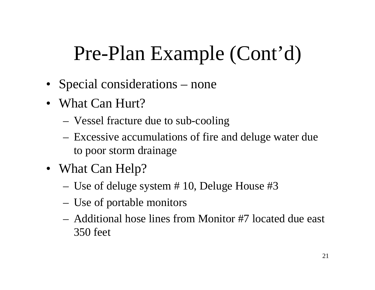- Special considerations none
- What Can Hurt?
	- Vessel fracture due to sub-cooling
	- Excessive accumulations of fire and deluge water due to poor storm drainage
- What Can Help?
	- Use of deluge system # 10, Deluge House #3
	- Use of portable monitors
	- Additional hose lines from Monitor #7 located due east 350 feet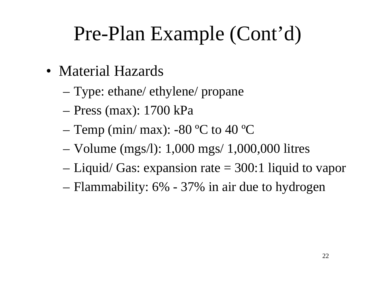- Material Hazards
	- Type: ethane/ ethylene/ propane
	- –Press (max): 1700 kPa
	- –Temp (min/ max): -80 ºC to 40 ºC
	- –Volume (mgs/l): 1,000 mgs/ 1,000,000 litres
	- –Liquid/ Gas: expansion rate = 300:1 liquid to vapor
	- Flammability: 6% 37% in air due to hydrogen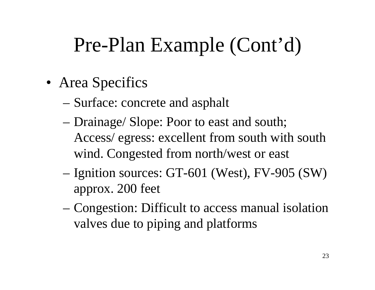- Area Specifics
	- Surface: concrete and asphalt
	- – Drainage/ Slope: Poor to east and south; Access/ egress: excellent from south with south wind. Congested from north/west or east
	- – Ignition sources: GT-601 (West), FV-905 (SW) approx. 200 feet
	- Congestion: Difficult to access manual isolation valves due to piping and platforms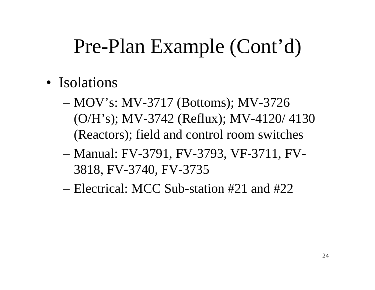- Isolations
	- MOV's: MV-3717 (Bottoms); MV-3726 (O/H's); MV-3742 (Reflux); MV-4120/ 4130 (Reactors); field and control room switches
	- – Manual: FV-3791, FV-3793, VF-3711, FV-3818, FV-3740, FV-3735
	- Electrical: MCC Sub-station #21 and #22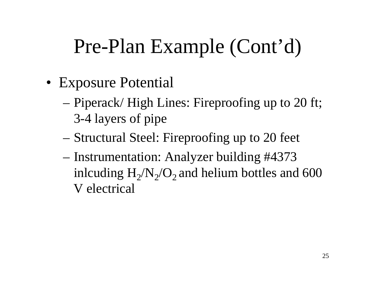- Exposure Potential
	- Piperack/ High Lines: Fireproofing up to 20 ft; 3-4 layers of pipe
	- –Structural Steel: Fireproofing up to 20 feet
	- – Instrumentation: Analyzer building #4373 inlcuding  $\rm H_2/N_2/O_2$  and helium bottles and 600 V electrical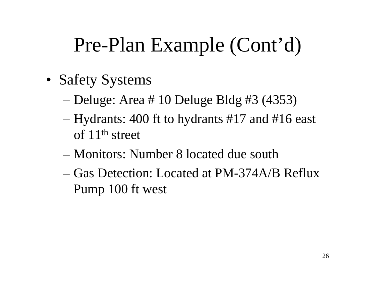- Safety Systems
	- Deluge: Area # 10 Deluge Bldg #3 (4353)
	- – Hydrants: 400 ft to hydrants #17 and #16 east of 11th street
	- Monitors: Number 8 located due south
	- Gas Detection: Located at PM-374A/B RefluxPump 100 ft west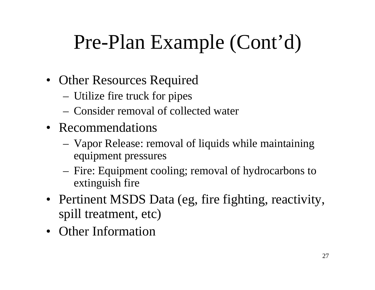- Other Resources Required
	- Utilize fire truck for pipes
	- Consider removal of collected water
- Recommendations
	- Vapor Release: removal of liquids while maintaining equipment pressures
	- Fire: Equipment cooling; removal of hydrocarbons to extinguish fire
- Pertinent MSDS Data (eg, fire fighting, reactivity, spill treatment, etc)
- Other Information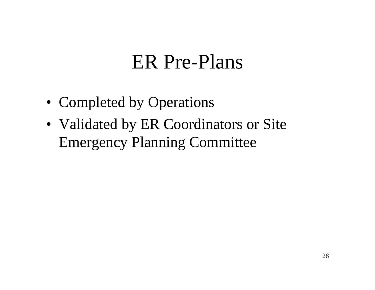### ER Pre-Plans

- Completed by Operations
- Validated by ER Coordinators or Site Emergency Planning Committee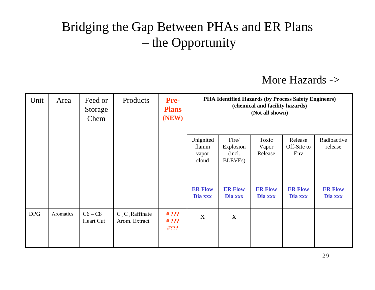### Bridging the Gap Between PHAs and ER Plans – the Opportunity

#### More Hazards ->

| Unit       | Area      | Feed or<br>Storage<br>Chem | Products                             | <b>Pre-</b><br><b>Plans</b><br>(NEW) | PHA Identified Hazards (by Process Safety Engineers)<br>(chemical and facility hazards)<br>(Not all shown) |                                                      |                           |                               |                           |
|------------|-----------|----------------------------|--------------------------------------|--------------------------------------|------------------------------------------------------------------------------------------------------------|------------------------------------------------------|---------------------------|-------------------------------|---------------------------|
|            |           |                            |                                      |                                      | Unignited<br>flamm<br>vapor<br>cloud                                                                       | Fire/<br>Explosion<br>(incl.<br>BLEVE <sub>s</sub> ) | Toxic<br>Vapor<br>Release | Release<br>Off-Site to<br>Env | Radioactive<br>release    |
|            |           |                            |                                      |                                      | <b>ER Flow</b><br>Dia xxx                                                                                  | <b>ER Flow</b><br>Dia xxx                            | <b>ER Flow</b><br>Dia xxx | <b>ER Flow</b><br>Dia xxx     | <b>ER Flow</b><br>Dia xxx |
| <b>DPG</b> | Aromatics | $C6 - C8$<br>Heart Cut     | $C_6 C_8$ Raffinate<br>Arom. Extract | # $??\}$<br># ? ? ?<br>#? ??         | X                                                                                                          | X                                                    |                           |                               |                           |